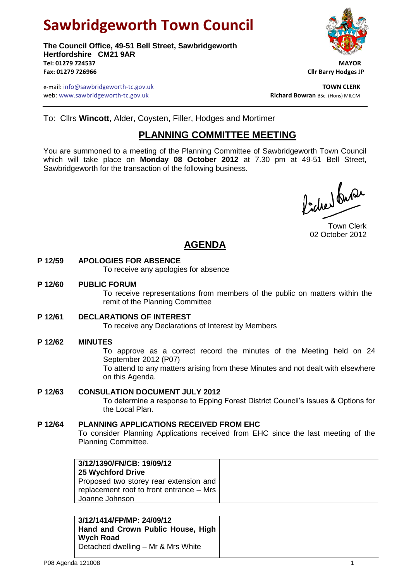# **Sawbridgeworth Town Council**

**The Council Office, 49-51 Bell Street, Sawbridgeworth Hertfordshire CM21 9AR Tel: 01279 724537 MAYOR Fax: 01279 726966 Cllr Barry Hodges** JP



e-mail: info@sawbridgeworth-tc.gov.uk **TOWN CLERK** web: www.sawbridgeworth-tc.gov.uk<br> **Richard Bowran** BSc. (Hons) MILCM

To: Cllrs **Wincott**, Alder, Coysten, Filler, Hodges and Mortimer

### **PLANNING COMMITTEE MEETING**

You are summoned to a meeting of the Planning Committee of Sawbridgeworth Town Council which will take place on **Monday 08 October 2012** at 7.30 pm at 49-51 Bell Street, Sawbridgeworth for the transaction of the following business.

Picker fuse

Town Clerk 02 October 2012

## **AGENDA**

#### **P 12/59 APOLOGIES FOR ABSENCE**

To receive any apologies for absence

#### **P 12/60 PUBLIC FORUM**

To receive representations from members of the public on matters within the remit of the Planning Committee

#### **P 12/61 DECLARATIONS OF INTEREST**

To receive any Declarations of Interest by Members

#### **P 12/62 MINUTES**

To approve as a correct record the minutes of the Meeting held on 24 September 2012 (P07)

To attend to any matters arising from these Minutes and not dealt with elsewhere on this Agenda.

#### **P 12/63 CONSULATION DOCUMENT JULY 2012**

To determine a response to Epping Forest District Council's Issues & Options for the Local Plan.

#### **P 12/64 PLANNING APPLICATIONS RECEIVED FROM EHC**

To consider Planning Applications received from EHC since the last meeting of the Planning Committee.

**3/12/1390/FN/CB: 19/09/12 25 Wychford Drive** Proposed two storey rear extension and replacement roof to front entrance – Mrs Joanne Johnson

| 3/12/1414/FP/MP: 24/09/12          |
|------------------------------------|
| Hand and Crown Public House, High  |
| Wych Road                          |
| Detached dwelling - Mr & Mrs White |